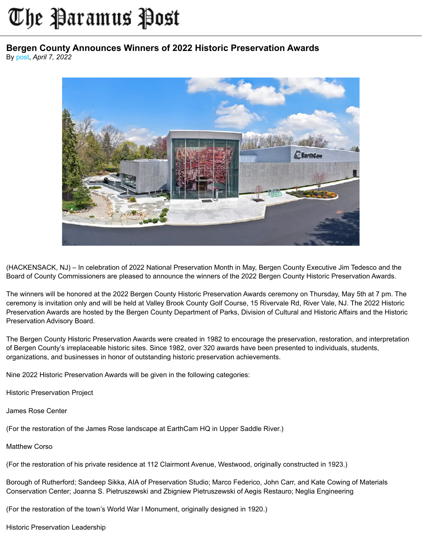## The Paramus Post

## **Bergen County Announces Winners of 2022 Historic Preservation Awards**

By [post](https://paramuspost.com/users.php?mode=profile&uid=3), *April 7, 2022*



(HACKENSACK, NJ) – In celebration of 2022 National Preservation Month in May, Bergen County Executive Jim Tedesco and the Board of County Commissioners are pleased to announce the winners of the 2022 Bergen County Historic Preservation Awards.

The winners will be honored at the 2022 Bergen County Historic Preservation Awards ceremony on Thursday, May 5th at 7 pm. The ceremony is invitation only and will be held at Valley Brook County Golf Course, 15 Rivervale Rd, River Vale, NJ. The 2022 Historic Preservation Awards are hosted by the Bergen County Department of Parks, Division of Cultural and Historic Affairs and the Historic Preservation Advisory Board.

The Bergen County Historic Preservation Awards were created in 1982 to encourage the preservation, restoration, and interpretation of Bergen County's irreplaceable historic sites. Since 1982, over 320 awards have been presented to individuals, students, organizations, and businesses in honor of outstanding historic preservation achievements.

Nine 2022 Historic Preservation Awards will be given in the following categories:

Historic Preservation Project

James Rose Center

(For the restoration of the James Rose landscape at EarthCam HQ in Upper Saddle River.)

Matthew Corso

(For the restoration of his private residence at 112 Clairmont Avenue, Westwood, originally constructed in 1923.)

Borough of Rutherford; Sandeep Sikka, AIA of Preservation Studio; Marco Federico, John Carr, and Kate Cowing of Materials Conservation Center; Joanna S. Pietruszewski and Zbigniew Pietruszewski of Aegis Restauro; Neglia Engineering

(For the restoration of the town's World War I Monument, originally designed in 1920.)

Historic Preservation Leadership